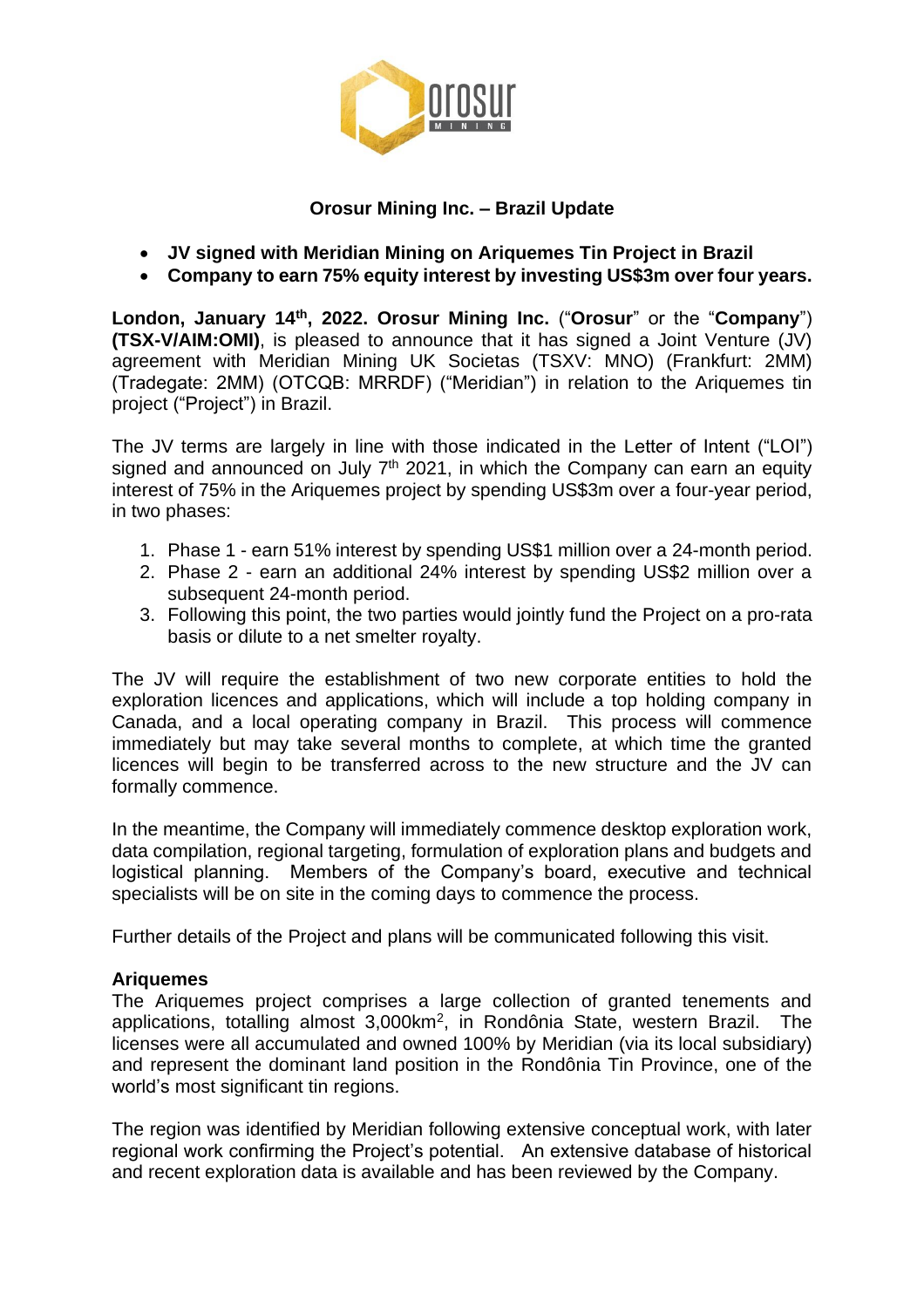

## **Orosur Mining Inc. – Brazil Update**

- **JV signed with Meridian Mining on Ariquemes Tin Project in Brazil**
- **Company to earn 75% equity interest by investing US\$3m over four years.**

**London, January 14th, 2022. Orosur Mining Inc.** ("**Orosur**" or the "**Company**") **(TSX-V/AIM:OMI)**, is pleased to announce that it has signed a Joint Venture (JV) agreement with Meridian Mining UK Societas (TSXV: MNO) (Frankfurt: 2MM) (Tradegate: 2MM) (OTCQB: MRRDF) ("Meridian") in relation to the Ariquemes tin project ("Project") in Brazil.

The JV terms are largely in line with those indicated in the Letter of Intent ("LOI") signed and announced on July  $7<sup>th</sup>$  2021, in which the Company can earn an equity interest of 75% in the Ariquemes project by spending US\$3m over a four-year period, in two phases:

- 1. Phase 1 earn 51% interest by spending US\$1 million over a 24-month period.
- 2. Phase 2 earn an additional 24% interest by spending US\$2 million over a subsequent 24-month period.
- 3. Following this point, the two parties would jointly fund the Project on a pro-rata basis or dilute to a net smelter royalty.

The JV will require the establishment of two new corporate entities to hold the exploration licences and applications, which will include a top holding company in Canada, and a local operating company in Brazil. This process will commence immediately but may take several months to complete, at which time the granted licences will begin to be transferred across to the new structure and the JV can formally commence.

In the meantime, the Company will immediately commence desktop exploration work, data compilation, regional targeting, formulation of exploration plans and budgets and logistical planning. Members of the Company's board, executive and technical specialists will be on site in the coming days to commence the process.

Further details of the Project and plans will be communicated following this visit.

# **Ariquemes**

The Ariquemes project comprises a large collection of granted tenements and applications, totalling almost 3,000km<sup>2</sup>, in Rondônia State, western Brazil. The licenses were all accumulated and owned 100% by Meridian (via its local subsidiary) and represent the dominant land position in the Rondônia Tin Province, one of the world's most significant tin regions.

The region was identified by Meridian following extensive conceptual work, with later regional work confirming the Project's potential. An extensive database of historical and recent exploration data is available and has been reviewed by the Company.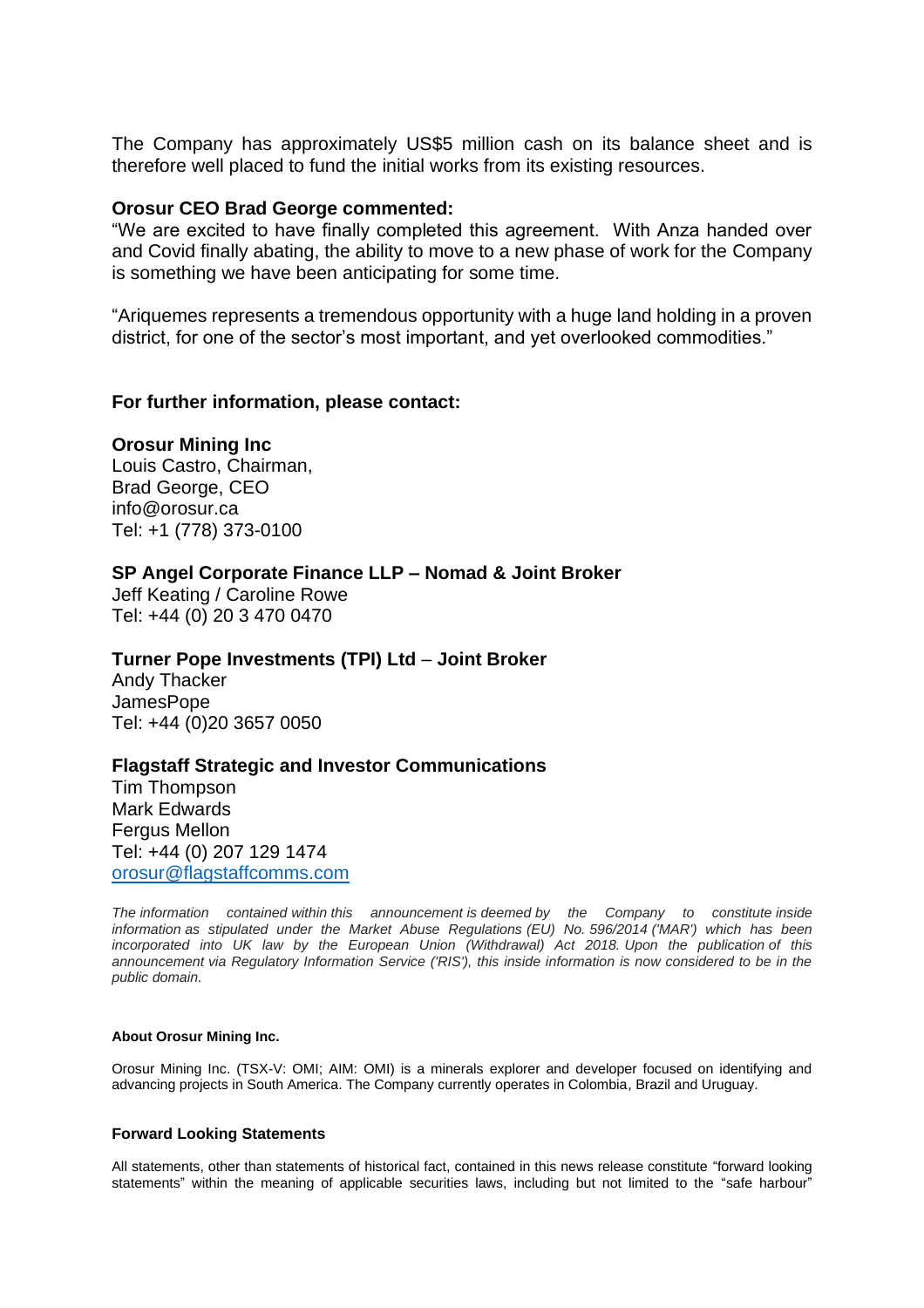The Company has approximately US\$5 million cash on its balance sheet and is therefore well placed to fund the initial works from its existing resources.

#### **Orosur CEO Brad George commented:**

"We are excited to have finally completed this agreement. With Anza handed over and Covid finally abating, the ability to move to a new phase of work for the Company is something we have been anticipating for some time.

"Ariquemes represents a tremendous opportunity with a huge land holding in a proven district, for one of the sector's most important, and yet overlooked commodities."

### **For further information, please contact:**

### **Orosur Mining Inc**

Louis Castro, Chairman, Brad George, CEO info@orosur.ca Tel: +1 (778) 373-0100

### **SP Angel Corporate Finance LLP – Nomad & Joint Broker**

Jeff Keating / Caroline Rowe Tel: +44 (0) 20 3 470 0470

## **Turner Pope Investments (TPI) Ltd** – **Joint Broker**

Andy Thacker JamesPope Tel: +44 (0)20 3657 0050

#### **Flagstaff Strategic and Investor Communications**

Tim Thompson Mark Edwards Fergus Mellon Tel: +44 (0) 207 129 1474 [orosur@flagstaffcomms.com](mailto:orosur@flagstaffcomms.com)

*The information contained within this announcement is deemed by the Company to constitute inside information as stipulated under the Market Abuse Regulations (EU) No. 596/2014 ('MAR') which has been incorporated into UK law by the European Union (Withdrawal) Act 2018. Upon the publication of this announcement via Regulatory Information Service ('RIS'), this inside information is now considered to be in the public domain.*

#### **About Orosur Mining Inc.**

Orosur Mining Inc. (TSX-V: OMI; AIM: OMI) is a minerals explorer and developer focused on identifying and advancing projects in South America. The Company currently operates in Colombia, Brazil and Uruguay.

#### **Forward Looking Statements**

All statements, other than statements of historical fact, contained in this news release constitute "forward looking statements" within the meaning of applicable securities laws, including but not limited to the "safe harbour"